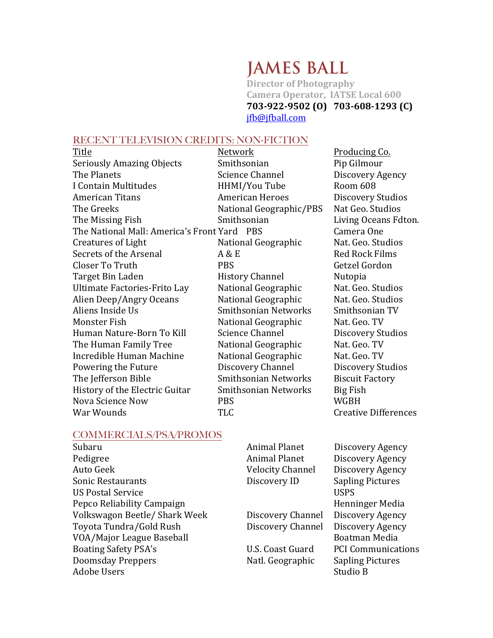## **JAMES BALL**

**Director of Photography Camera Operator, IATSE Local 600 703-922-9502 (O) 703-608-1293 (C)** jfb@jfball.com

## RECENT TELEVISION CREDITS: NON-FICTION

| Title                                   | Network                     | Producing Co.               |
|-----------------------------------------|-----------------------------|-----------------------------|
| <b>Seriously Amazing Objects</b>        | Smithsonian                 | Pip Gilmour                 |
| The Planets                             | <b>Science Channel</b>      | Discovery Agency            |
| I Contain Multitudes                    | HHMI/You Tube               | Room 608                    |
| <b>American Titans</b>                  | <b>American Heroes</b>      | Discovery Studios           |
| The Greeks                              | National Geographic/PBS     | Nat Geo. Studios            |
| The Missing Fish                        | Smithsonian                 | Living Oceans Fdton.        |
| The National Mall: America's Front Yard | <b>PRS</b>                  | Camera One                  |
| <b>Creatures of Light</b>               | National Geographic         | Nat. Geo. Studios           |
| Secrets of the Arsenal                  | A & E                       | <b>Red Rock Films</b>       |
| Closer To Truth                         | <b>PBS</b>                  | Getzel Gordon               |
| Target Bin Laden                        | <b>History Channel</b>      | Nutopia                     |
| Ultimate Factories-Frito Lay            | National Geographic         | Nat. Geo. Studios           |
| Alien Deep/Angry Oceans                 | National Geographic         | Nat. Geo. Studios           |
| Aliens Inside Us                        | <b>Smithsonian Networks</b> | Smithsonian TV              |
| Monster Fish                            | National Geographic         | Nat. Geo. TV                |
| Human Nature-Born To Kill               | <b>Science Channel</b>      | Discovery Studios           |
| The Human Family Tree                   | National Geographic         | Nat. Geo. TV                |
| Incredible Human Machine                | National Geographic         | Nat. Geo. TV                |
| Powering the Future                     | Discovery Channel           | Discovery Studios           |
| The Jefferson Bible                     | <b>Smithsonian Networks</b> | <b>Biscuit Factory</b>      |
| History of the Electric Guitar          | <b>Smithsonian Networks</b> | <b>Big Fish</b>             |
| Nova Science Now                        | <b>PBS</b>                  | WGBH                        |
| War Wounds                              | <b>TLC</b>                  | <b>Creative Differences</b> |

## COMMERCIALS/PSA/PROMOS<br>Subaru

| Subaru                        | <b>Animal Planet</b>    | Discovery Agency          |
|-------------------------------|-------------------------|---------------------------|
| Pedigree                      | <b>Animal Planet</b>    | Discovery Agency          |
| Auto Geek                     | <b>Velocity Channel</b> | Discovery Agency          |
| Sonic Restaurants             | Discovery ID            | <b>Sapling Pictures</b>   |
| <b>US Postal Service</b>      |                         | <b>USPS</b>               |
| Pepco Reliability Campaign    |                         | Henninger Media           |
| Volkswagon Beetle/ Shark Week | Discovery Channel       | Discovery Agency          |
| Toyota Tundra/Gold Rush       | Discovery Channel       | Discovery Agency          |
| VOA/Major League Baseball     |                         | Boatman Media             |
| <b>Boating Safety PSA's</b>   | U.S. Coast Guard        | <b>PCI Communications</b> |
| Doomsday Preppers             | Natl. Geographic        | <b>Sapling Pictures</b>   |
| Adobe Users                   |                         | Studio B                  |
|                               |                         |                           |